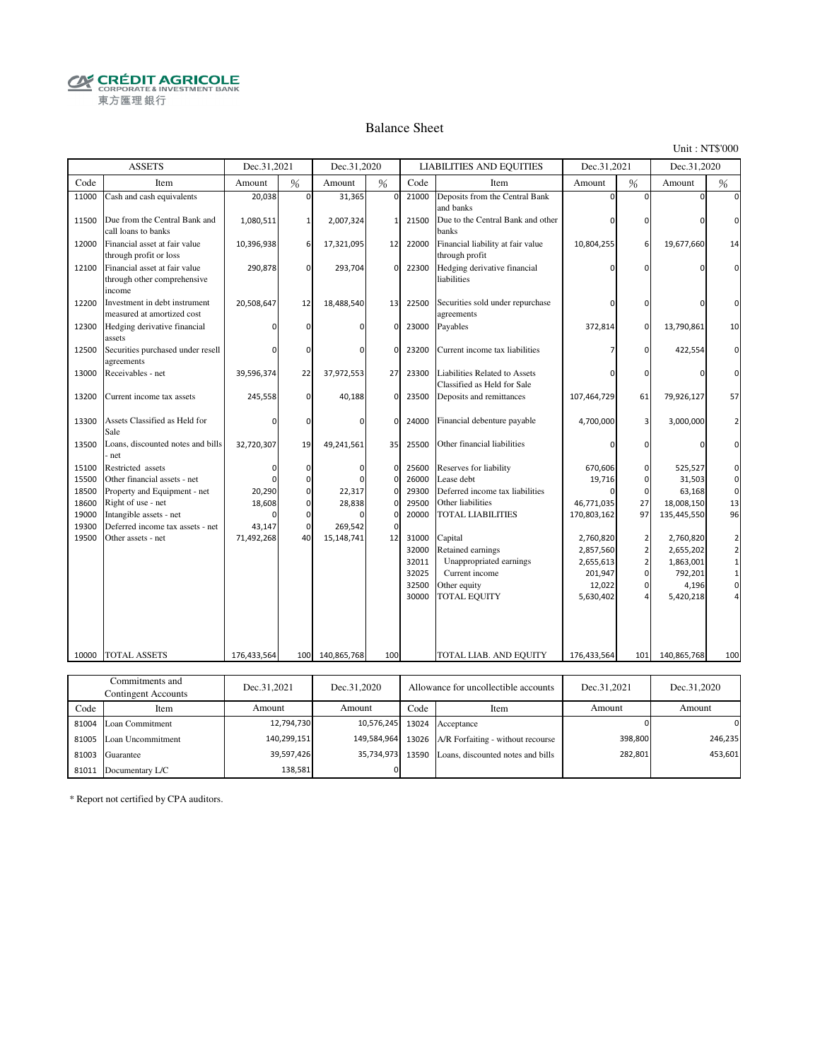**CRÉDIT AGRICOLE** 東方匯理銀行

#### Balance Sheet

Unit : NT\$'000

282,801

453,601

|       | <b>ASSETS</b>                                                          | Dec.31,2021 |             | Dec.31,2020 |             |       | <b>LIABILITIES AND EQUITIES</b>                              | Dec.31,2021 |               | Dec.31,2020 |                |
|-------|------------------------------------------------------------------------|-------------|-------------|-------------|-------------|-------|--------------------------------------------------------------|-------------|---------------|-------------|----------------|
| Code  | Item                                                                   | Amount      | %           | Amount      | %           | Code  | Item                                                         | Amount      | $\frac{0}{6}$ | Amount      | %              |
| 11000 | Cash and cash equivalents                                              | 20,038      | $\Omega$    | 31,365      | $\mathbf 0$ | 21000 | Deposits from the Central Bank<br>and banks                  | $\Omega$    | $\Omega$      | $\Omega$    | $\Omega$       |
| 11500 | Due from the Central Bank and<br>call loans to banks                   | 1,080,511   | 1           | 2,007,324   | 1           | 21500 | Due to the Central Bank and other<br>banks                   | 0           | $\mathbf 0$   | $\Omega$    | $\Omega$       |
| 12000 | Financial asset at fair value<br>through profit or loss                | 10,396,938  | 6           | 17,321,095  | 12          | 22000 | Financial liability at fair value<br>through profit          | 10,804,255  | 6             | 19,677,660  | 14             |
| 12100 | Financial asset at fair value<br>through other comprehensive<br>income | 290,878     | $\mathbf 0$ | 293,704     | 0           | 22300 | Hedging derivative financial<br>liabilities                  | $\Omega$    | $\Omega$      | O           | $\Omega$       |
| 12200 | Investment in debt instrument<br>measured at amortized cost            | 20,508,647  | 12          | 18,488,540  | 13          | 22500 | Securities sold under repurchase<br>agreements               | 0           | $\mathbf 0$   | $\Omega$    | O              |
| 12300 | Hedging derivative financial<br>assets                                 |             | $\mathbf 0$ | $\Omega$    | 0           | 23000 | Payables                                                     | 372,814     | $\mathbf 0$   | 13,790,861  | 10             |
| 12500 | Securities purchased under resell<br>agreements                        |             | $\Omega$    | $\Omega$    | $\Omega$    | 23200 | Current income tax liabilities                               | 7           | $\mathbf 0$   | 422,554     | $\Omega$       |
| 13000 | Receivables - net                                                      | 39,596,374  | 22          | 37,972,553  | 27          | 23300 | Liabilities Related to Assets<br>Classified as Held for Sale | n           | $\Omega$      | $\Omega$    | $\Omega$       |
| 13200 | Current income tax assets                                              | 245,558     | $\mathbf 0$ | 40,188      | 0           | 23500 | Deposits and remittances                                     | 107,464,729 | 61            | 79,926,127  | 57             |
| 13300 | Assets Classified as Held for<br>Sale                                  | $\Omega$    | $\Omega$    | $\Omega$    | $\Omega$    | 24000 | Financial debenture payable                                  | 4,700,000   | 3             | 3,000,000   | $\overline{2}$ |
| 13500 | Loans, discounted notes and bills<br>net                               | 32,720,307  | 19          | 49,241,561  | 35          | 25500 | Other financial liabilities                                  | $\Omega$    | $\mathbf 0$   | $\Omega$    | $\Omega$       |
| 15100 | Restricted assets                                                      | $\Omega$    | $\mathbf 0$ | $\Omega$    | 0           | 25600 | Reserves for liability                                       | 670,606     | $\mathbf 0$   | 525,527     | 0              |
| 15500 | Other financial assets - net                                           |             | $\mathbf 0$ |             | 0           | 26000 | Lease debt                                                   | 19,716      | $\mathbf 0$   | 31,503      | $\mathbf 0$    |
| 18500 | Property and Equipment - net                                           | 20,290      | $\mathbf 0$ | 22,317      | $\mathbf 0$ | 29300 | Deferred income tax liabilities                              |             | $\mathbf 0$   | 63,168      | $\mathbf 0$    |
| 18600 | Right of use - net                                                     | 18,608      | $\mathbf 0$ | 28,838      | 0           | 29500 | Other liabilities                                            | 46,771,035  | 27            | 18,008,150  | 13             |
| 19000 | Intangible assets - net                                                |             | $\mathbf 0$ |             | 0           | 20000 | <b>TOTAL LIABILITIES</b>                                     | 170,803,162 | 97            | 135,445,550 | 96             |
| 19300 | Deferred income tax assets - net                                       | 43,147      | $\mathbf 0$ | 269,542     | $\Omega$    |       |                                                              |             |               |             |                |
| 19500 | Other assets - net                                                     | 71,492,268  | 40          | 15,148,741  | 12          | 31000 | Capital                                                      | 2,760,820   | $\mathbf 2$   | 2,760,820   | $\mathbf 2$    |
|       |                                                                        |             |             |             |             | 32000 | Retained earnings                                            | 2,857,560   | $\mathbf 2$   | 2,655,202   | $\mathbf 2$    |
|       |                                                                        |             |             |             |             | 32011 | Unappropriated earnings                                      | 2,655,613   | $\mathbf 2$   | 1,863,001   | $\mathbf 1$    |
|       |                                                                        |             |             |             |             | 32025 | Current income                                               | 201,947     | $\pmb{0}$     | 792,201     | $\mathbf 1$    |
|       |                                                                        |             |             |             |             | 32500 | Other equity                                                 | 12,022      | $\mathbf 0$   | 4,196       | $\mathbf 0$    |
|       |                                                                        |             |             |             |             | 30000 | <b>TOTAL EQUITY</b>                                          | 5,630,402   | 4             | 5,420,218   |                |
|       |                                                                        |             |             |             |             |       |                                                              |             |               |             |                |
|       |                                                                        |             |             |             |             |       |                                                              |             |               |             |                |
| 10000 | <b>TOTAL ASSETS</b>                                                    | 176,433,564 | 100 l       | 140,865,768 | 100         |       | TOTAL LIAB. AND EQUITY                                       | 176,433,564 | 101           | 140,865,768 | 100            |
|       | Commitments and                                                        |             |             |             |             |       |                                                              |             |               |             |                |
|       | <b>Contingent Accounts</b>                                             | Dec.31,2021 |             | Dec.31,2020 |             |       | Allowance for uncollectible accounts                         | Dec.31,2021 |               | Dec.31,2020 |                |
| Code  | Item                                                                   | Amount      |             | Amount      |             | Code  | Item                                                         | Amount      |               | Amount      |                |
| 81004 | Loan Commitment                                                        |             | 12,794,730  |             | 10,576,245  | 13024 | Acceptance                                                   |             | $\Omega$      |             | $\Omega$       |
|       | 81005 Loan Uncommitment                                                |             | 140,299,151 |             | 149,584,964 | 13026 | A/R Forfaiting - without recourse                            |             | 398,800       |             | 246,235        |

0

81003 Guarantee 13590 Loans, discounted notes and bills 35,734,973

39,597,426 138,581

\* Report not certified by CPA auditors.

81011 Documentary L/C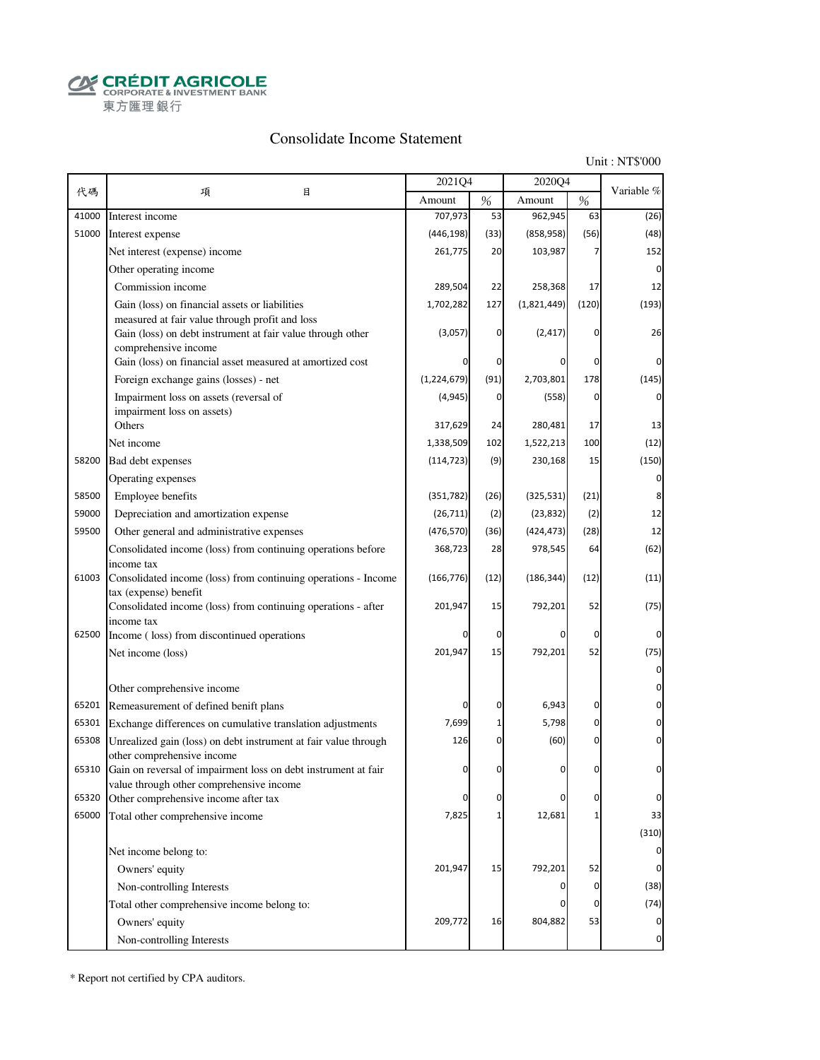**CRÉDIT AGRICOLE** 東方匯理銀行

# Consolidate Income Statement

Unit : NT\$'000

| 代碼<br>項<br>目<br>$\%$<br>%<br>Amount<br>Amount<br>707,973<br>962,945<br>41000<br>53<br>63<br>Interest income<br>51000<br>(446, 198)<br>(56)<br>(33)<br>(858, 958)<br>Interest expense<br>261,775<br>103,987<br>Net interest (expense) income<br>20<br>Other operating income<br>Commission income<br>289,504<br>22<br>258,368<br>17<br>1,702,282<br>(1,821,449)<br>(120)<br>Gain (loss) on financial assets or liabilities<br>127<br>measured at fair value through profit and loss<br>Gain (loss) on debt instrument at fair value through other<br>(3,057)<br>(2, 417)<br>0<br>0<br>comprehensive income<br>Gain (loss) on financial asset measured at amortized cost<br>0<br>0<br>(1,224,679)<br>(91)<br>2,703,801<br>178<br>Foreign exchange gains (losses) - net<br>(4, 945)<br>0<br>Impairment loss on assets (reversal of<br>(558)<br>0<br>impairment loss on assets)<br>Others<br>317,629<br>24<br>280,481<br>17<br>1,338,509<br>1,522,213<br>100<br>Net income<br>102 | Variable %<br>(26)<br>(48)<br>152<br>$\Omega$<br>12<br>(193)<br>26<br>0<br>(145)<br>0<br>13<br>(12)<br>(150) |
|-------------------------------------------------------------------------------------------------------------------------------------------------------------------------------------------------------------------------------------------------------------------------------------------------------------------------------------------------------------------------------------------------------------------------------------------------------------------------------------------------------------------------------------------------------------------------------------------------------------------------------------------------------------------------------------------------------------------------------------------------------------------------------------------------------------------------------------------------------------------------------------------------------------------------------------------------------------------------------|--------------------------------------------------------------------------------------------------------------|
|                                                                                                                                                                                                                                                                                                                                                                                                                                                                                                                                                                                                                                                                                                                                                                                                                                                                                                                                                                               |                                                                                                              |
|                                                                                                                                                                                                                                                                                                                                                                                                                                                                                                                                                                                                                                                                                                                                                                                                                                                                                                                                                                               |                                                                                                              |
|                                                                                                                                                                                                                                                                                                                                                                                                                                                                                                                                                                                                                                                                                                                                                                                                                                                                                                                                                                               |                                                                                                              |
|                                                                                                                                                                                                                                                                                                                                                                                                                                                                                                                                                                                                                                                                                                                                                                                                                                                                                                                                                                               |                                                                                                              |
|                                                                                                                                                                                                                                                                                                                                                                                                                                                                                                                                                                                                                                                                                                                                                                                                                                                                                                                                                                               |                                                                                                              |
|                                                                                                                                                                                                                                                                                                                                                                                                                                                                                                                                                                                                                                                                                                                                                                                                                                                                                                                                                                               |                                                                                                              |
|                                                                                                                                                                                                                                                                                                                                                                                                                                                                                                                                                                                                                                                                                                                                                                                                                                                                                                                                                                               |                                                                                                              |
|                                                                                                                                                                                                                                                                                                                                                                                                                                                                                                                                                                                                                                                                                                                                                                                                                                                                                                                                                                               |                                                                                                              |
|                                                                                                                                                                                                                                                                                                                                                                                                                                                                                                                                                                                                                                                                                                                                                                                                                                                                                                                                                                               |                                                                                                              |
|                                                                                                                                                                                                                                                                                                                                                                                                                                                                                                                                                                                                                                                                                                                                                                                                                                                                                                                                                                               |                                                                                                              |
|                                                                                                                                                                                                                                                                                                                                                                                                                                                                                                                                                                                                                                                                                                                                                                                                                                                                                                                                                                               |                                                                                                              |
|                                                                                                                                                                                                                                                                                                                                                                                                                                                                                                                                                                                                                                                                                                                                                                                                                                                                                                                                                                               |                                                                                                              |
|                                                                                                                                                                                                                                                                                                                                                                                                                                                                                                                                                                                                                                                                                                                                                                                                                                                                                                                                                                               |                                                                                                              |
|                                                                                                                                                                                                                                                                                                                                                                                                                                                                                                                                                                                                                                                                                                                                                                                                                                                                                                                                                                               |                                                                                                              |
| 58200<br>(114, 723)<br>230,168<br>15<br>Bad debt expenses<br>(9)                                                                                                                                                                                                                                                                                                                                                                                                                                                                                                                                                                                                                                                                                                                                                                                                                                                                                                              |                                                                                                              |
| Operating expenses                                                                                                                                                                                                                                                                                                                                                                                                                                                                                                                                                                                                                                                                                                                                                                                                                                                                                                                                                            | 0                                                                                                            |
| 58500<br>Employee benefits<br>(21)<br>(351, 782)<br>(26)<br>(325, 531)                                                                                                                                                                                                                                                                                                                                                                                                                                                                                                                                                                                                                                                                                                                                                                                                                                                                                                        | 8                                                                                                            |
| 59000<br>(26, 711)<br>(23, 832)<br>Depreciation and amortization expense<br>(2)<br>(2)                                                                                                                                                                                                                                                                                                                                                                                                                                                                                                                                                                                                                                                                                                                                                                                                                                                                                        | 12                                                                                                           |
| 59500<br>(476, 570)<br>(424, 473)<br>(28)<br>Other general and administrative expenses<br>(36)                                                                                                                                                                                                                                                                                                                                                                                                                                                                                                                                                                                                                                                                                                                                                                                                                                                                                | 12                                                                                                           |
| Consolidated income (loss) from continuing operations before<br>368,723<br>978,545<br>64<br>28                                                                                                                                                                                                                                                                                                                                                                                                                                                                                                                                                                                                                                                                                                                                                                                                                                                                                | (62)                                                                                                         |
| income tax<br>61003<br>(12)<br>Consolidated income (loss) from continuing operations - Income<br>(166, 776)<br>(12)<br>(186, 344)                                                                                                                                                                                                                                                                                                                                                                                                                                                                                                                                                                                                                                                                                                                                                                                                                                             | (11)                                                                                                         |
| tax (expense) benefit<br>201,947<br>Consolidated income (loss) from continuing operations - after<br>15<br>792,201<br>52                                                                                                                                                                                                                                                                                                                                                                                                                                                                                                                                                                                                                                                                                                                                                                                                                                                      | (75)                                                                                                         |
| income tax<br>62500<br>Income (loss) from discontinued operations<br>0<br>0<br>n                                                                                                                                                                                                                                                                                                                                                                                                                                                                                                                                                                                                                                                                                                                                                                                                                                                                                              | 0                                                                                                            |
| 201,947<br>Net income (loss)<br>792,201<br>52<br>15                                                                                                                                                                                                                                                                                                                                                                                                                                                                                                                                                                                                                                                                                                                                                                                                                                                                                                                           | (75)                                                                                                         |
|                                                                                                                                                                                                                                                                                                                                                                                                                                                                                                                                                                                                                                                                                                                                                                                                                                                                                                                                                                               | $\mathbf 0$                                                                                                  |
| Other comprehensive income                                                                                                                                                                                                                                                                                                                                                                                                                                                                                                                                                                                                                                                                                                                                                                                                                                                                                                                                                    | 0                                                                                                            |
| Remeasurement of defined benift plans<br>6,943<br>65201<br>0<br>0<br>n                                                                                                                                                                                                                                                                                                                                                                                                                                                                                                                                                                                                                                                                                                                                                                                                                                                                                                        | 0                                                                                                            |
| 7,699<br>5,798<br>0<br>65301<br>Exchange differences on cumulative translation adjustments<br>1                                                                                                                                                                                                                                                                                                                                                                                                                                                                                                                                                                                                                                                                                                                                                                                                                                                                               | 0                                                                                                            |
| Unrealized gain (loss) on debt instrument at fair value through<br>126<br>(60)<br>65308<br>0<br>0<br>other comprehensive income                                                                                                                                                                                                                                                                                                                                                                                                                                                                                                                                                                                                                                                                                                                                                                                                                                               | 0                                                                                                            |
| 65310 Gain on reversal of impairment loss on debt instrument at fair<br>n<br>0<br>value through other comprehensive income                                                                                                                                                                                                                                                                                                                                                                                                                                                                                                                                                                                                                                                                                                                                                                                                                                                    |                                                                                                              |
| Other comprehensive income after tax<br>65320<br>0<br>0<br>0                                                                                                                                                                                                                                                                                                                                                                                                                                                                                                                                                                                                                                                                                                                                                                                                                                                                                                                  | 0                                                                                                            |
| 65000<br>7,825<br>12,681<br>Total other comprehensive income                                                                                                                                                                                                                                                                                                                                                                                                                                                                                                                                                                                                                                                                                                                                                                                                                                                                                                                  | 33                                                                                                           |
| Net income belong to:                                                                                                                                                                                                                                                                                                                                                                                                                                                                                                                                                                                                                                                                                                                                                                                                                                                                                                                                                         | (310)<br>$\Omega$                                                                                            |
| 201,947<br>Owners' equity<br>15<br>792,201<br>52                                                                                                                                                                                                                                                                                                                                                                                                                                                                                                                                                                                                                                                                                                                                                                                                                                                                                                                              | $\Omega$                                                                                                     |
| Non-controlling Interests<br>$\mathbf 0$<br>0                                                                                                                                                                                                                                                                                                                                                                                                                                                                                                                                                                                                                                                                                                                                                                                                                                                                                                                                 | (38)                                                                                                         |
| Total other comprehensive income belong to:<br>0                                                                                                                                                                                                                                                                                                                                                                                                                                                                                                                                                                                                                                                                                                                                                                                                                                                                                                                              | (74)                                                                                                         |
| 804,882<br>53<br>Owners' equity<br>209,772<br>16                                                                                                                                                                                                                                                                                                                                                                                                                                                                                                                                                                                                                                                                                                                                                                                                                                                                                                                              | 0                                                                                                            |
| Non-controlling Interests                                                                                                                                                                                                                                                                                                                                                                                                                                                                                                                                                                                                                                                                                                                                                                                                                                                                                                                                                     |                                                                                                              |

\* Report not certified by CPA auditors.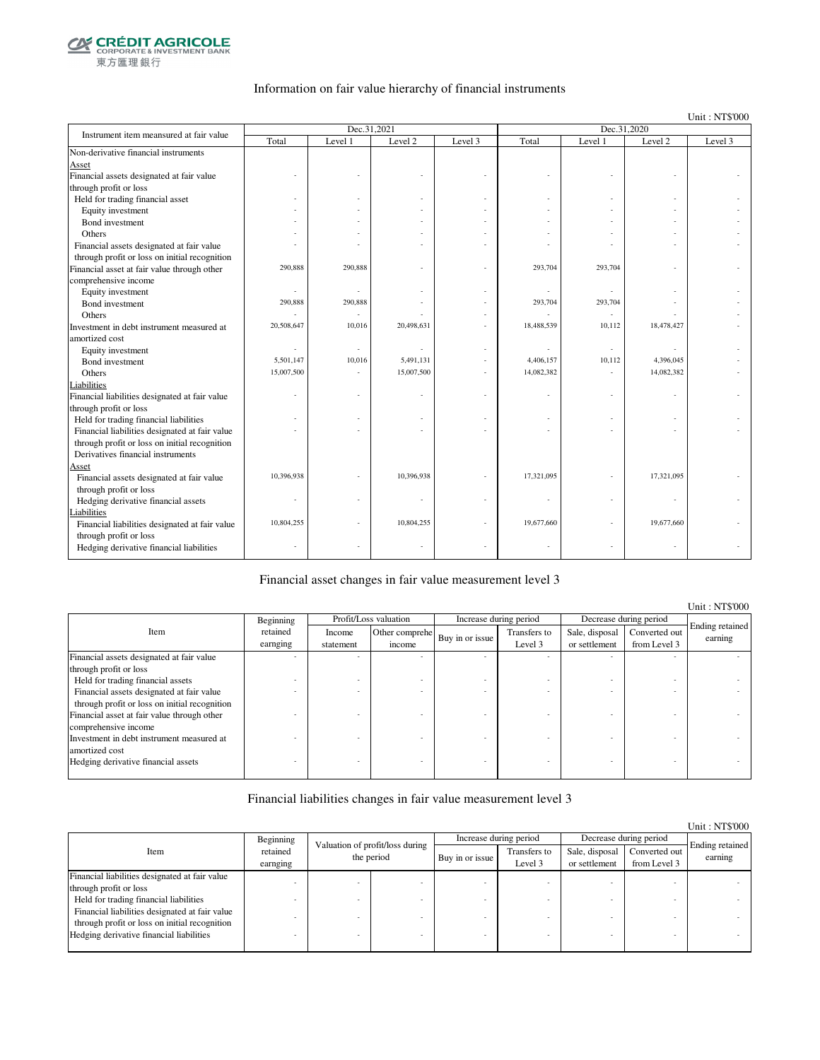

### Information on fair value hierarchy of financial instruments

Unit : NT\$'000

| Instrument item meansured at fair value        |            | Dec.31,2021 |            |         | Dec.31,2020 |         |            |         |  |
|------------------------------------------------|------------|-------------|------------|---------|-------------|---------|------------|---------|--|
|                                                | Total      | Level 1     | Level 2    | Level 3 | Total       | Level 1 | Level 2    | Level 3 |  |
| Non-derivative financial instruments           |            |             |            |         |             |         |            |         |  |
| Asset                                          |            |             |            |         |             |         |            |         |  |
| Financial assets designated at fair value      |            |             |            |         |             |         |            |         |  |
| through profit or loss                         |            |             |            |         |             |         |            |         |  |
| Held for trading financial asset               |            |             |            |         |             |         |            |         |  |
| Equity investment                              |            |             |            |         |             |         |            |         |  |
| Bond investment                                |            |             |            |         |             |         |            |         |  |
| Others                                         |            |             |            |         |             |         |            |         |  |
| Financial assets designated at fair value      |            |             |            |         |             |         |            |         |  |
| through profit or loss on initial recognition  |            |             |            |         |             |         |            |         |  |
| Financial asset at fair value through other    | 290.888    | 290,888     |            |         | 293,704     | 293,704 |            |         |  |
| comprehensive income                           |            |             |            |         |             |         |            |         |  |
| Equity investment                              | ٠          |             |            |         |             | $\sim$  |            |         |  |
| Bond investment                                | 290,888    | 290,888     |            |         | 293,704     | 293,704 |            |         |  |
| Others                                         |            |             |            |         |             |         |            |         |  |
| Investment in debt instrument measured at      | 20,508,647 | 10,016      | 20,498,631 |         | 18,488,539  | 10,112  | 18,478,427 |         |  |
| amortized cost                                 |            |             |            |         |             |         |            |         |  |
| Equity investment                              |            |             |            |         |             | $\sim$  |            |         |  |
| Bond investment                                | 5,501,147  | 10,016      | 5,491,131  |         | 4,406,157   | 10,112  | 4,396,045  |         |  |
| Others                                         | 15,007,500 |             | 15,007,500 |         | 14,082,382  | $\sim$  | 14,082,382 |         |  |
| Liabilities                                    |            |             |            |         |             |         |            |         |  |
| Financial liabilities designated at fair value |            |             |            |         |             | ٠       |            |         |  |
| through profit or loss                         |            |             |            |         |             |         |            |         |  |
| Held for trading financial liabilities         |            |             |            |         |             | ٠       |            |         |  |
| Financial liabilities designated at fair value |            |             |            |         |             |         |            |         |  |
| through profit or loss on initial recognition  |            |             |            |         |             |         |            |         |  |
| Derivatives financial instruments              |            |             |            |         |             |         |            |         |  |
| Asset                                          |            |             |            |         |             |         |            |         |  |
| Financial assets designated at fair value      | 10,396,938 |             | 10,396,938 |         | 17,321,095  |         | 17,321,095 |         |  |
| through profit or loss                         |            |             |            |         |             |         |            |         |  |
| Hedging derivative financial assets            |            |             |            |         |             |         |            |         |  |
| Liabilities                                    |            |             |            |         |             |         |            |         |  |
| Financial liabilities designated at fair value | 10,804,255 |             | 10,804,255 |         | 19,677,660  |         | 19,677,660 |         |  |
| through profit or loss                         |            |             |            |         |             |         |            |         |  |
| Hedging derivative financial liabilities       |            |             |            |         |             |         |            |         |  |
|                                                |            |             |            |         |             |         |            |         |  |

### Financial asset changes in fair value measurement level 3

|                                               |           |           |                       |                 |                        |                |                        | Unit: NT\$'000  |
|-----------------------------------------------|-----------|-----------|-----------------------|-----------------|------------------------|----------------|------------------------|-----------------|
|                                               | Beginning |           | Profit/Loss valuation |                 | Increase during period |                | Decrease during period |                 |
| Item                                          | retained  | Income    | Other comprehe        |                 | Transfers to           | Sale, disposal | Converted out          | Ending retained |
|                                               | earnging  | statement | income                | Buy in or issue | Level 3                | or settlement  | from Level 3           | earning         |
| Financial assets designated at fair value     |           |           |                       |                 |                        |                |                        |                 |
| through profit or loss                        |           |           |                       |                 |                        |                |                        |                 |
| Held for trading financial assets             |           |           |                       |                 |                        |                |                        |                 |
| Financial assets designated at fair value     |           |           |                       |                 |                        |                |                        |                 |
| through profit or loss on initial recognition |           |           |                       |                 |                        |                |                        |                 |
| Financial asset at fair value through other   |           |           |                       |                 |                        |                |                        |                 |
| comprehensive income                          |           |           |                       |                 |                        |                |                        |                 |
| Investment in debt instrument measured at     |           |           |                       |                 |                        |                |                        |                 |
| amortized cost                                |           |           |                       |                 |                        |                |                        |                 |
| Hedging derivative financial assets           |           |           |                       |                 |                        |                |                        |                 |
|                                               |           |           |                       |                 |                        |                |                        |                 |

### Financial liabilities changes in fair value measurement level 3

|                                                |                      |                                               |  |                        |                         |                                 |                               | Unit: NT\$'000             |
|------------------------------------------------|----------------------|-----------------------------------------------|--|------------------------|-------------------------|---------------------------------|-------------------------------|----------------------------|
|                                                | Beginning            | Valuation of profit/loss during<br>the period |  | Increase during period |                         | Decrease during period          |                               |                            |
| Item                                           | retained<br>earnging |                                               |  | Buy in or issue        | Transfers to<br>Level 3 | Sale, disposal<br>or settlement | Converted out<br>from Level 3 | Ending retained<br>earning |
| Financial liabilities designated at fair value |                      |                                               |  |                        |                         |                                 |                               |                            |
| through profit or loss                         |                      |                                               |  |                        |                         |                                 |                               |                            |
| Held for trading financial liabilities         |                      |                                               |  |                        |                         |                                 |                               |                            |
| Financial liabilities designated at fair value |                      |                                               |  |                        |                         |                                 |                               |                            |
| through profit or loss on initial recognition  |                      |                                               |  |                        |                         |                                 |                               |                            |
| Hedging derivative financial liabilities       |                      |                                               |  |                        |                         |                                 |                               |                            |
|                                                |                      |                                               |  |                        |                         |                                 |                               |                            |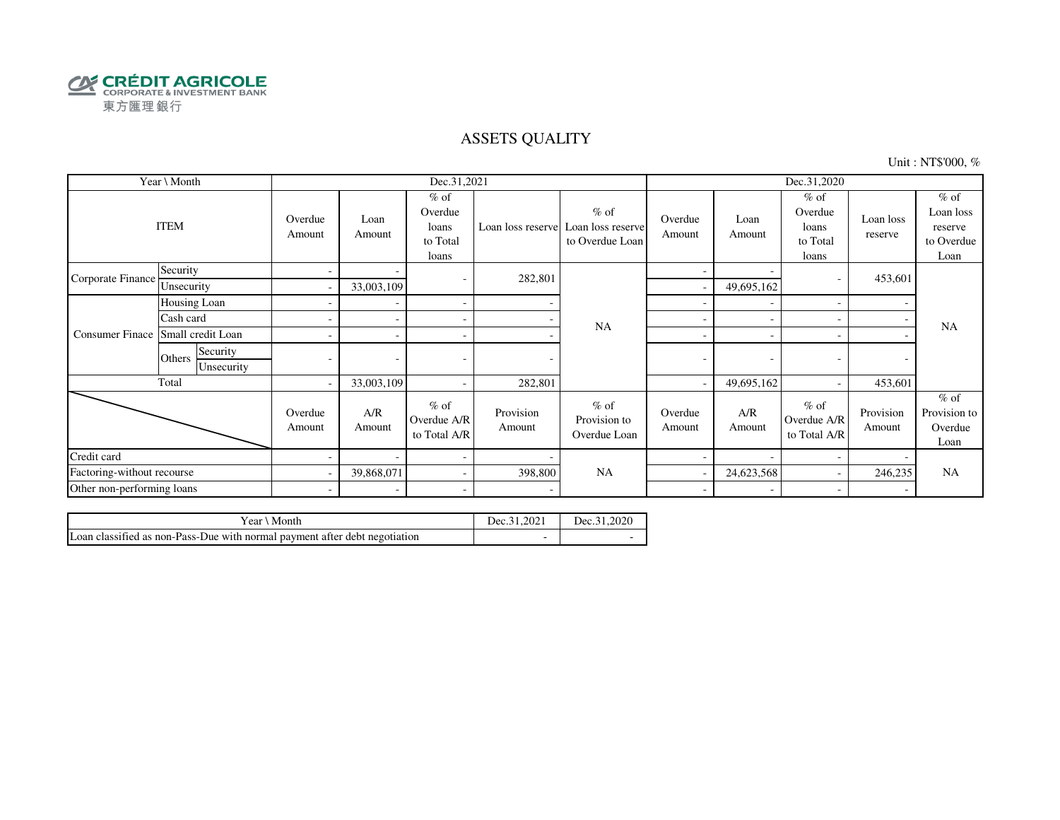

### ASSETS QUALITY

Unit : NT\$'000, %

|                            | Year \ Month                     |                          |                | Dec.31,2021                                     |                     |                                                                  | Dec.31,2020              |                |                                                 |                      |                                                      |
|----------------------------|----------------------------------|--------------------------|----------------|-------------------------------------------------|---------------------|------------------------------------------------------------------|--------------------------|----------------|-------------------------------------------------|----------------------|------------------------------------------------------|
| <b>ITEM</b>                |                                  | Overdue<br>Amount        | Loan<br>Amount | $%$ of<br>Overdue<br>loans<br>to Total<br>loans |                     | $%$ of<br>Loan loss reserve Loan loss reserve<br>to Overdue Loan | Overdue<br>Amount        | Loan<br>Amount | $%$ of<br>Overdue<br>loans<br>to Total<br>loans | Loan loss<br>reserve | $%$ of<br>Loan loss<br>reserve<br>to Overdue<br>Loan |
| Corporate Finance          | Security                         | $\overline{\phantom{a}}$ |                | $\overline{\phantom{a}}$                        | 282,801             |                                                                  | $\overline{\phantom{0}}$ |                |                                                 | 453,601              |                                                      |
|                            | Unsecurity                       |                          | 33,003,109     |                                                 |                     |                                                                  |                          | 49,695,162     |                                                 |                      |                                                      |
|                            | Housing Loan                     |                          |                | $\overline{\phantom{a}}$                        |                     |                                                                  |                          |                |                                                 |                      |                                                      |
| <b>Consumer Finace</b>     | Cash card                        |                          |                | $\sim$                                          |                     | <b>NA</b>                                                        | ÷                        |                |                                                 |                      | <b>NA</b>                                            |
|                            | Small credit Loan                |                          |                | $\sim$                                          |                     |                                                                  | ۰                        |                |                                                 |                      |                                                      |
|                            | Security<br>Others<br>Unsecurity |                          |                |                                                 |                     |                                                                  | -                        | ٠              |                                                 |                      |                                                      |
|                            | Total                            | $\sim$                   | 33,003,109     | $\sim$                                          | 282,801             |                                                                  |                          | 49,695,162     |                                                 | 453,601              |                                                      |
|                            |                                  | Overdue<br>Amount        | A/R<br>Amount  | $%$ of<br>Overdue A/R<br>to Total A/R           | Provision<br>Amount | $%$ of<br>Provision to<br>Overdue Loan                           | Overdue<br>Amount        | A/R<br>Amount  | $%$ of<br>Overdue A/R<br>to Total A/R           | Provision<br>Amount  | $%$ of<br>Provision to<br>Overdue<br>Loan            |
| Credit card                |                                  |                          |                | $\overline{\phantom{a}}$                        |                     |                                                                  |                          |                |                                                 |                      |                                                      |
| Factoring-without recourse |                                  |                          | 39,868,071     | $\sim$                                          | 398,800             | <b>NA</b>                                                        |                          | 24,623,568     |                                                 | 246,235              | <b>NA</b>                                            |
| Other non-performing loans |                                  | $\overline{\phantom{0}}$ |                | $\sim$                                          |                     |                                                                  | $\sim$                   |                |                                                 |                      |                                                      |

| Vear ∖ Month                                                               | Dec.31.202. | Dec.31.2020 |
|----------------------------------------------------------------------------|-------------|-------------|
| Loan classified as non-Pass-Due with normal payment after debt negotiation |             |             |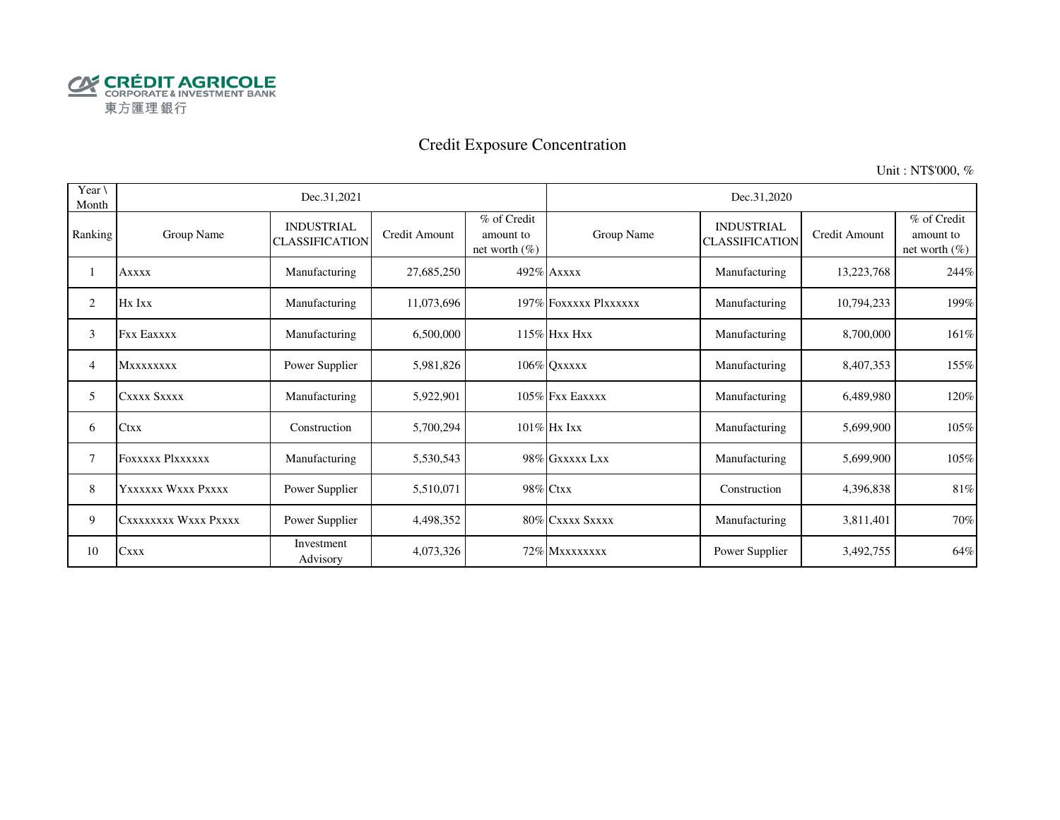

# Credit Exposure Concentration

Unit : NT\$'000, %

| Year \<br>Month |                         | Dec.31,2021                                |               |                                              | Dec.31,2020           |                                            |               |                                              |  |  |
|-----------------|-------------------------|--------------------------------------------|---------------|----------------------------------------------|-----------------------|--------------------------------------------|---------------|----------------------------------------------|--|--|
| Ranking         | Group Name              | <b>INDUSTRIAL</b><br><b>CLASSIFICATION</b> | Credit Amount | % of Credit<br>amount to<br>net worth $(\%)$ | Group Name            | <b>INDUSTRIAL</b><br><b>CLASSIFICATION</b> | Credit Amount | % of Credit<br>amount to<br>net worth $(\%)$ |  |  |
|                 | <b>Axxxx</b>            | Manufacturing                              | 27,685,250    |                                              | 492% Axxxx            | Manufacturing                              | 13,223,768    | 244%                                         |  |  |
| 2               | Hx Ixx                  | Manufacturing                              | 11,073,696    |                                              | 197% FOXXXXX PlXXXXXX | Manufacturing                              | 10,794,233    | 199%                                         |  |  |
| 3               | <b>Fxx Eaxxxx</b>       | Manufacturing                              | 6,500,000     |                                              | $115\%$ Hxx Hxx       | Manufacturing                              | 8,700,000     | 161%                                         |  |  |
| 4               | <b>MXXXXXXXX</b>        | Power Supplier                             | 5,981,826     |                                              | 106% QXXXXX           | Manufacturing                              | 8,407,353     | 155%                                         |  |  |
| 5               | CXXXX SXXXX             | Manufacturing                              | 5,922,901     |                                              | $105\%$ Fxx Eaxxxx    | Manufacturing                              | 6,489,980     | 120%                                         |  |  |
| 6               | Ctxx                    | Construction                               | 5,700,294     |                                              | 101% Hx Ixx           | Manufacturing                              | 5,699,900     | 105%                                         |  |  |
| 7               | <b>FOXXXXX PIXXXXXX</b> | Manufacturing                              | 5,530,543     |                                              | 98% GXXXXX LXX        | Manufacturing                              | 5,699,900     | 105%                                         |  |  |
| 8               | Yxxxxxx Wxxx Pxxxx      | Power Supplier                             | 5,510,071     |                                              | 98% Ctxx              | Construction                               | 4,396,838     | 81%                                          |  |  |
| 9               | CXXXXXXXX WXXX PXXXX    | Power Supplier                             | 4,498,352     |                                              | 80% CXXXX SXXXX       | Manufacturing                              | 3,811,401     | 70%                                          |  |  |
| 10              | <b>Cxxx</b>             | Investment<br>Advisory                     | 4,073,326     |                                              | 72% Mxxxxxxxx         | Power Supplier                             | 3,492,755     | 64%                                          |  |  |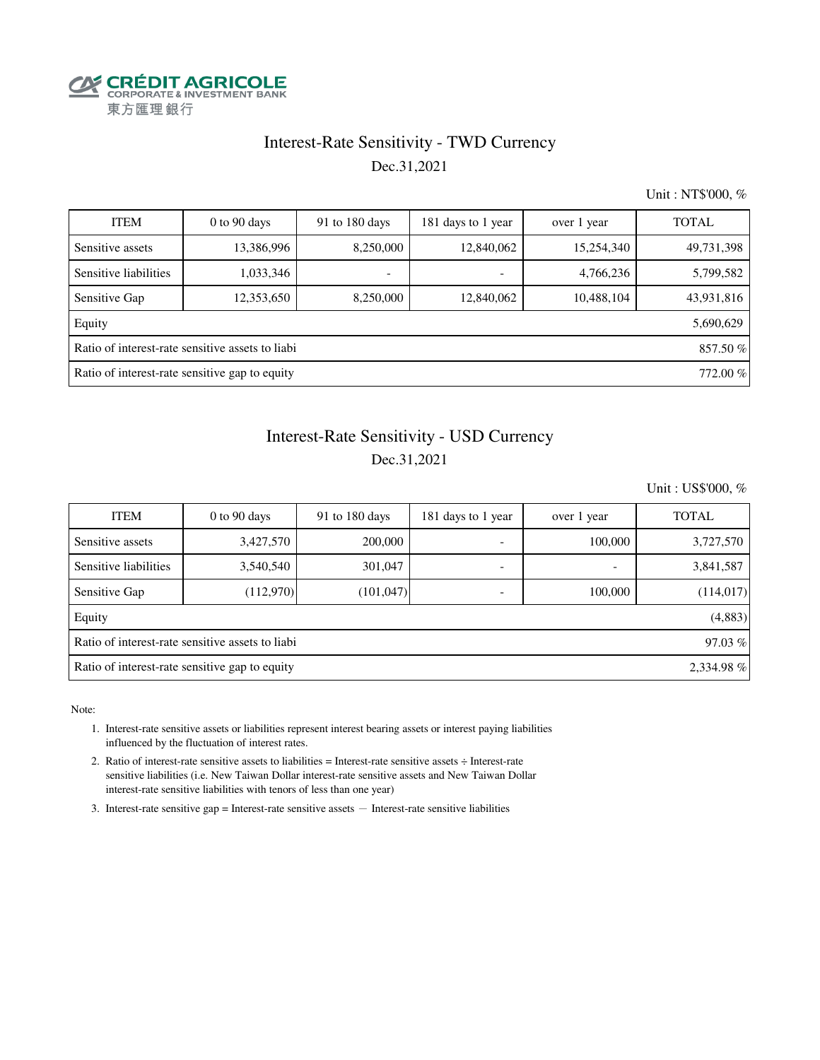

### Interest-Rate Sensitivity - TWD Currency Dec.31,2021

Unit : NT\$'000, %

| <b>ITEM</b>                                               | $0$ to $90$ days                                             | 91 to 180 days           | 181 days to 1 year       | over 1 year | <b>TOTAL</b> |  |  |  |  |  |  |
|-----------------------------------------------------------|--------------------------------------------------------------|--------------------------|--------------------------|-------------|--------------|--|--|--|--|--|--|
| Sensitive assets                                          | 13,386,996                                                   | 8,250,000                | 12,840,062               | 15,254,340  | 49,731,398   |  |  |  |  |  |  |
| Sensitive liabilities                                     | 1,033,346                                                    | $\overline{\phantom{a}}$ | $\overline{\phantom{a}}$ | 4,766,236   | 5,799,582    |  |  |  |  |  |  |
| Sensitive Gap                                             | 12,353,650                                                   | 8,250,000                | 12,840,062               | 10,488,104  | 43,931,816   |  |  |  |  |  |  |
| Equity                                                    | 5,690,629                                                    |                          |                          |             |              |  |  |  |  |  |  |
|                                                           | Ratio of interest-rate sensitive assets to liabi<br>857.50 % |                          |                          |             |              |  |  |  |  |  |  |
| Ratio of interest-rate sensitive gap to equity<br>772.00% |                                                              |                          |                          |             |              |  |  |  |  |  |  |

## Dec.31,2021 Interest-Rate Sensitivity - USD Currency

Unit : US\$'000, %

| <b>ITEM</b>                                                  | $0$ to $90$ days                                           | 91 to 180 days | 181 days to 1 year       | over 1 year | <b>TOTAL</b> |  |  |  |  |  |
|--------------------------------------------------------------|------------------------------------------------------------|----------------|--------------------------|-------------|--------------|--|--|--|--|--|
| Sensitive assets                                             | 3,427,570                                                  | 200,000        | $\overline{\phantom{a}}$ | 100,000     | 3,727,570    |  |  |  |  |  |
| Sensitive liabilities                                        | 3,540,540                                                  | 301,047        | $\overline{\phantom{a}}$ | -           | 3,841,587    |  |  |  |  |  |
| Sensitive Gap                                                | (112,970)                                                  | (101, 047)     |                          | 100,000     | (114, 017)   |  |  |  |  |  |
| Equity                                                       |                                                            |                |                          |             | (4,883)      |  |  |  |  |  |
|                                                              | Ratio of interest-rate sensitive assets to liabi<br>97.03% |                |                          |             |              |  |  |  |  |  |
| Ratio of interest-rate sensitive gap to equity<br>2,334.98 % |                                                            |                |                          |             |              |  |  |  |  |  |

Note:

- 1. Interest-rate sensitive assets or liabilities represent interest bearing assets or interest paying liabilities influenced by the fluctuation of interest rates.
- 2. Ratio of interest-rate sensitive assets to liabilities = Interest-rate sensitive assets ÷ Interest-rate sensitive liabilities (i.e. New Taiwan Dollar interest-rate sensitive assets and New Taiwan Dollar interest-rate sensitive liabilities with tenors of less than one year)
- 3. Interest-rate sensitive gap = Interest-rate sensitive assets  $-$  Interest-rate sensitive liabilities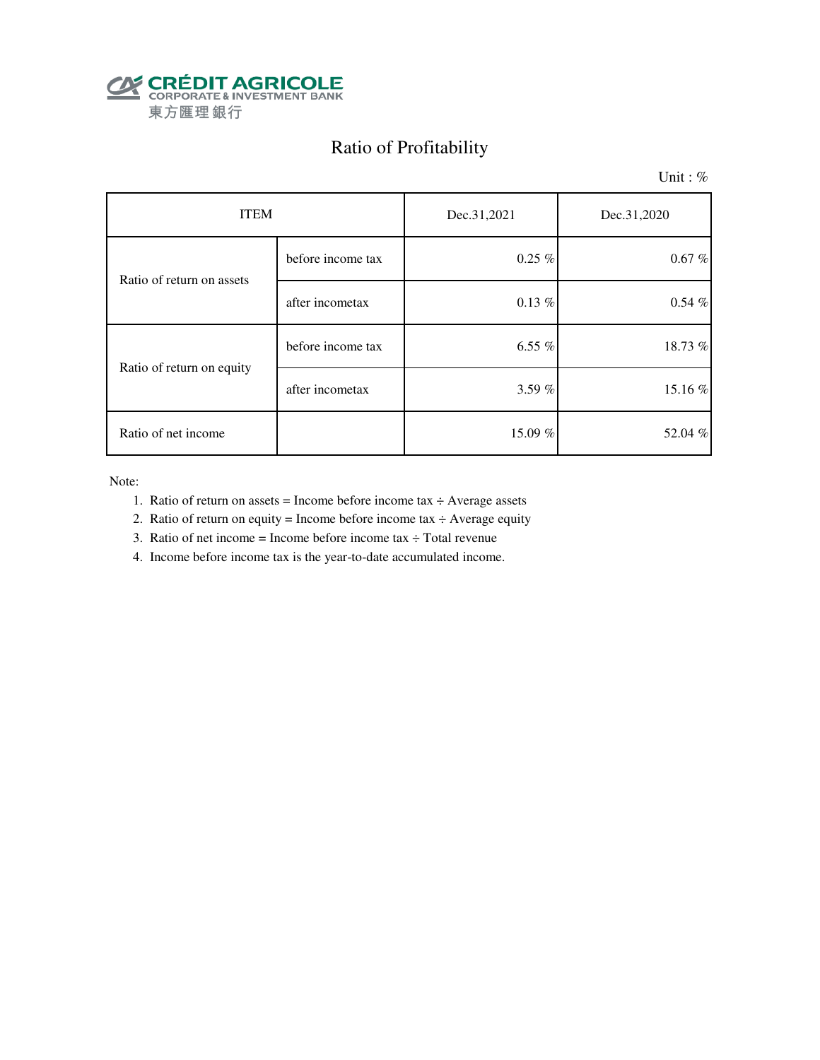

# Ratio of Profitability

Unit : %

| <b>ITEM</b>               |                   | Dec.31,2021 | Dec.31,2020 |  |
|---------------------------|-------------------|-------------|-------------|--|
| Ratio of return on assets | before income tax | $0.25\%$    | $0.67\%$    |  |
|                           | after incometax   | $0.13\%$    | $0.54\%$    |  |
|                           | before income tax | 6.55 $%$    | 18.73 %     |  |
| Ratio of return on equity | after incometax   | 3.59 $%$    | 15.16 %     |  |
| Ratio of net income       |                   | 15.09%      | 52.04 %     |  |

Note:

- 1. Ratio of return on assets = Income before income tax  $\div$  Average assets
- 2. Ratio of return on equity = Income before income tax  $\div$  Average equity
- 3. Ratio of net income = Income before income tax  $\div$  Total revenue
- 4. Income before income tax is the year-to-date accumulated income.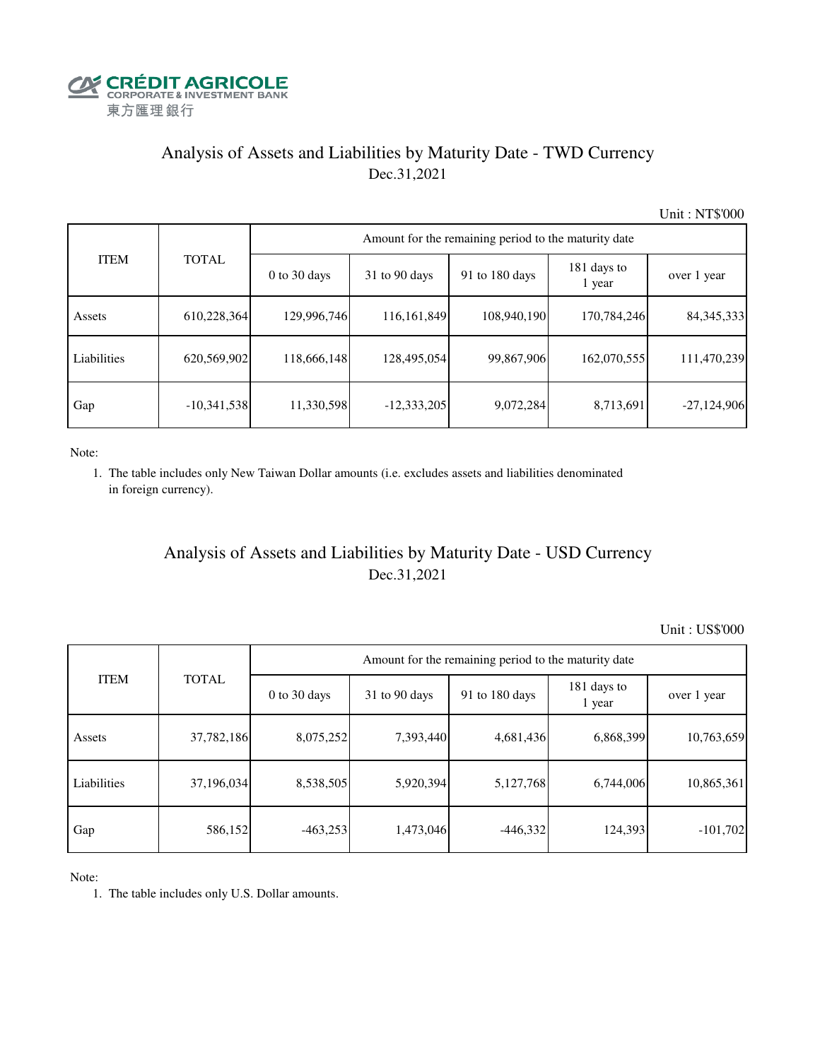

## Analysis of Assets and Liabilities by Maturity Date - TWD Currency Dec.31,2021

Unit : NT\$'000

|             |               | Amount for the remaining period to the maturity date |                 |                |                       |               |  |  |  |
|-------------|---------------|------------------------------------------------------|-----------------|----------------|-----------------------|---------------|--|--|--|
| <b>ITEM</b> | <b>TOTAL</b>  | $0$ to 30 days                                       | $31$ to 90 days | 91 to 180 days | 181 days to<br>1 year | over 1 year   |  |  |  |
| Assets      | 610,228,364   | 129,996,746                                          | 116, 161, 849   | 108,940,190    | 170,784,246           | 84, 345, 333  |  |  |  |
| Liabilities | 620,569,902   | 118,666,148                                          | 128,495,054     | 99,867,906     | 162,070,555           | 111,470,239   |  |  |  |
| Gap         | $-10,341,538$ | 11,330,598                                           | $-12,333,205$   | 9,072,284      | 8,713,691             | $-27,124,906$ |  |  |  |

Note:

 1. The table includes only New Taiwan Dollar amounts (i.e. excludes assets and liabilities denominated in foreign currency).

## Analysis of Assets and Liabilities by Maturity Date - USD Currency Dec.31,2021

Unit : US\$'000

| <b>ITEM</b> | <b>TOTAL</b> | Amount for the remaining period to the maturity date |                 |                |                       |             |  |  |
|-------------|--------------|------------------------------------------------------|-----------------|----------------|-----------------------|-------------|--|--|
|             |              | $0$ to 30 days                                       | $31$ to 90 days | 91 to 180 days | 181 days to<br>1 year | over 1 year |  |  |
| Assets      | 37,782,186   | 8,075,252                                            | 7,393,440       | 4,681,436      | 6,868,399             | 10,763,659  |  |  |
| Liabilities | 37,196,034   | 8,538,505                                            | 5,920,394       | 5,127,768      | 6,744,006             | 10,865,361  |  |  |
| Gap         | 586,152      | $-463,253$                                           | 1,473,046       | $-446,332$     | 124,393               | $-101,702$  |  |  |

Note:

1. The table includes only U.S. Dollar amounts.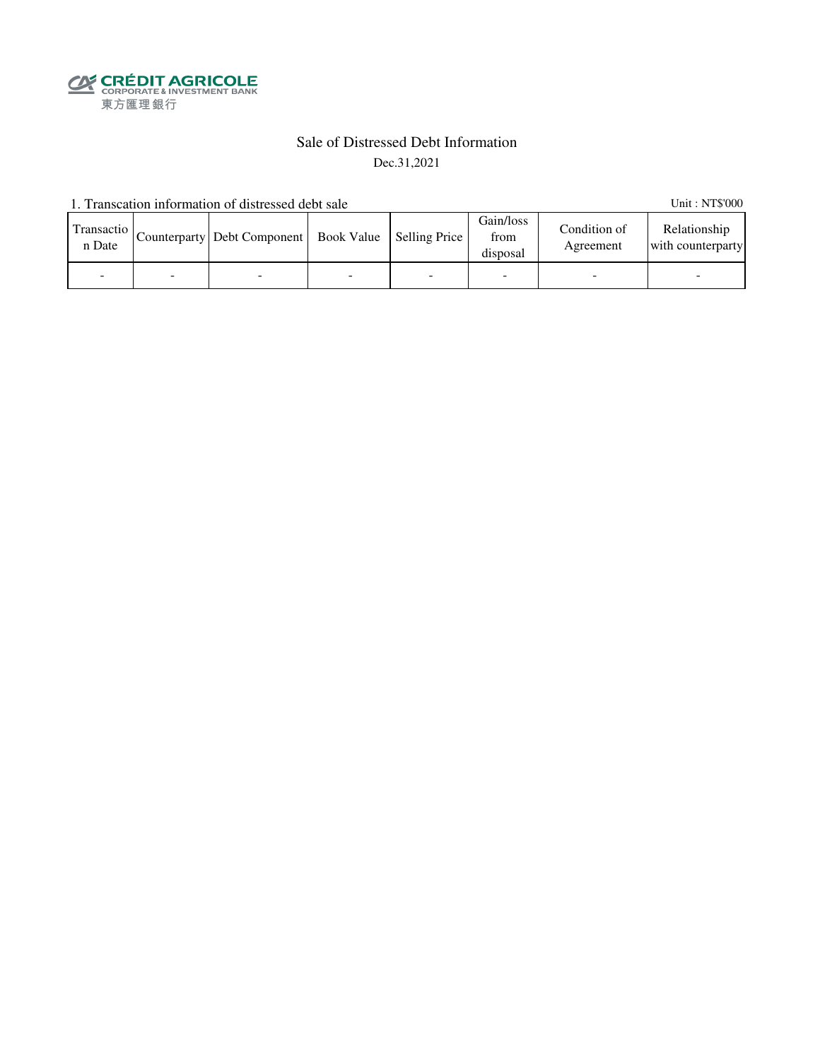**SECRÉDIT AGRICOLE**<br>
CORPORATE& INVESTMENT BANK<br>
東方匯理銀行

### Sale of Distressed Debt Information Dec.31,2021

1. Transcation information of distressed debt sale Unit: NT\$'000

| Transactio<br>n Date | Counterparty   Debt Component   Book Value   Selling Price |  | Gain/loss<br>from<br>disposal | Condition of<br>Agreement | Relationship<br>with counterparty |
|----------------------|------------------------------------------------------------|--|-------------------------------|---------------------------|-----------------------------------|
|                      |                                                            |  |                               |                           |                                   |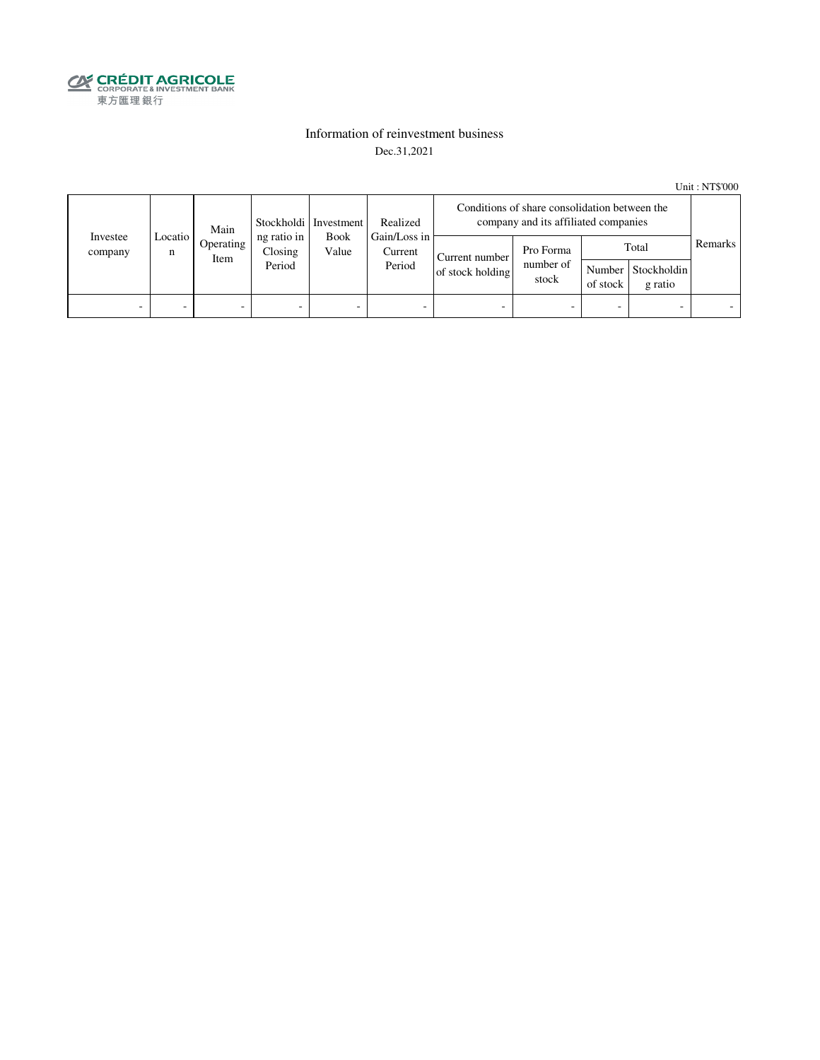

### Information of reinvestment business Dec.31,2021

Unit : NT\$'000

| Investee<br>company | Main<br>Locatio I<br>Operating<br>n<br>Item | Stockholdi Investment            | Realized                 |                                                           | Conditions of share consolidation between the<br>company and its affiliated companies |                                 |          |                                        |         |  |
|---------------------|---------------------------------------------|----------------------------------|--------------------------|-----------------------------------------------------------|---------------------------------------------------------------------------------------|---------------------------------|----------|----------------------------------------|---------|--|
|                     |                                             | ng ratio in<br>Closing<br>Period |                          | Gain/Loss in<br><b>Book</b><br>Value<br>Current<br>Period | Current number<br>of stock holding                                                    | Pro Forma<br>number of<br>stock | of stock | Total<br>Number Stockholdin<br>g ratio | Remarks |  |
| -                   | -                                           | -                                | $\overline{\phantom{0}}$ | -                                                         | $\overline{\phantom{a}}$                                                              | -                               |          | $\overline{\phantom{0}}$               |         |  |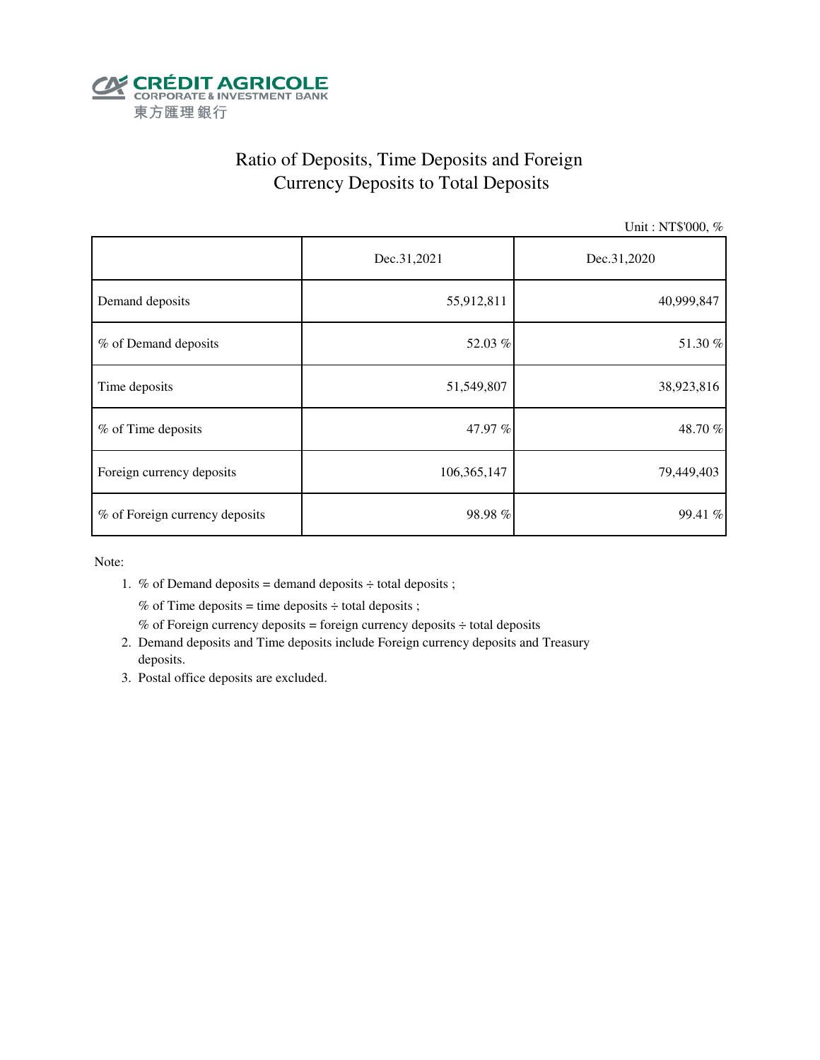

# Ratio of Deposits, Time Deposits and Foreign Currency Deposits to Total Deposits

Unit : NT\$'000, %

|                                | Dec.31,2021 | Dec.31,2020 |  |  |
|--------------------------------|-------------|-------------|--|--|
| Demand deposits                | 55,912,811  | 40,999,847  |  |  |
| % of Demand deposits           | 52.03 %     | 51.30%      |  |  |
| Time deposits                  | 51,549,807  | 38,923,816  |  |  |
| % of Time deposits             | 47.97 %     | 48.70%      |  |  |
| Foreign currency deposits      | 106,365,147 | 79,449,403  |  |  |
| % of Foreign currency deposits | 98.98%      | 99.41 %     |  |  |

Note:

1. % of Demand deposits = demand deposits  $\div$  total deposits ;

% of Time deposits = time deposits  $\div$  total deposits ;

- % of Foreign currency deposits = foreign currency deposits  $\div$  total deposits
- 2. Demand deposits and Time deposits include Foreign currency deposits and Treasury deposits.
- 3. Postal office deposits are excluded.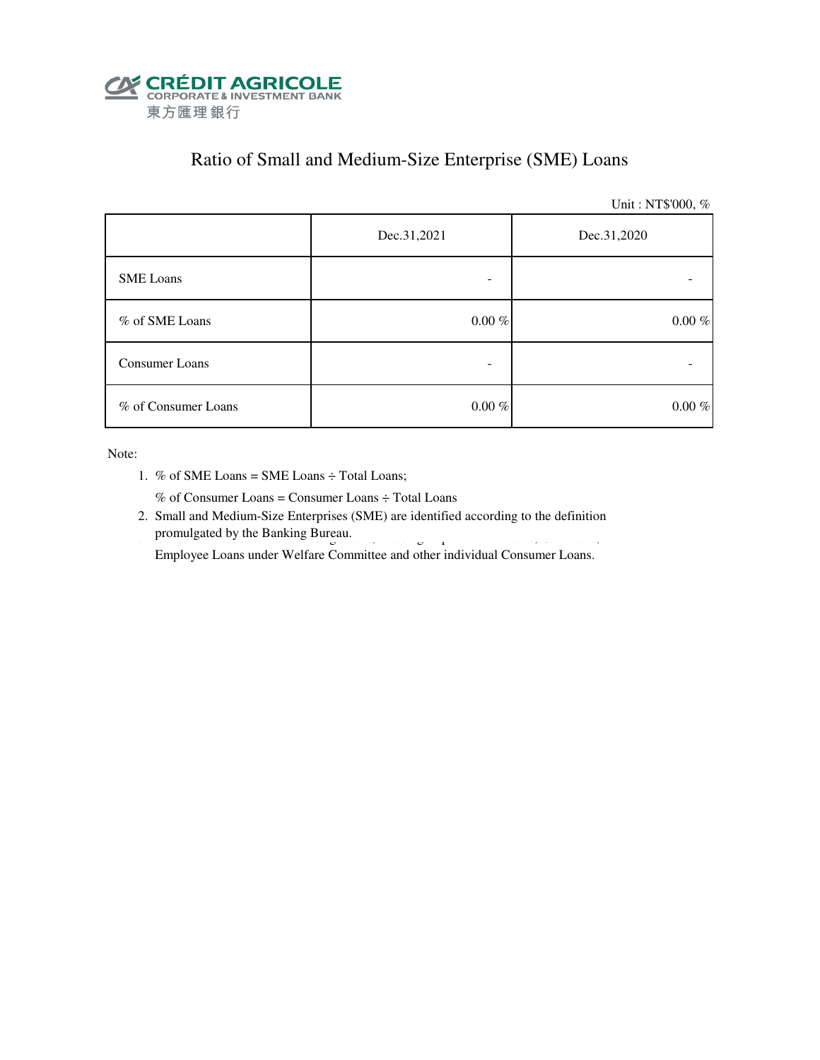

# Ratio of Small and Medium-Size Enterprise (SME) Loans

Unit : NT\$'000, %

|                     | Dec.31,2021 | Dec.31,2020 |  |  |
|---------------------|-------------|-------------|--|--|
| <b>SME</b> Loans    |             |             |  |  |
| % of SME Loans      | $0.00~\%$   | $0.00~\%$   |  |  |
| Consumer Loans      | -           |             |  |  |
| % of Consumer Loans | $0.00~\%$   | $0.00~\%$   |  |  |

Note:

1. % of SME Loans = SME Loans ÷ Total Loans;

% of Consumer Loans = Consumer Loans ÷ Total Loans

 2. Small and Medium-Size Enterprises (SME) are identified according to the definition promulgated by the Banking Bureau. 3. Consumer Loans include Housing Improvement Loans, Housing Improvement Lo

Employee Loans under Welfare Committee and other individual Consumer Loans.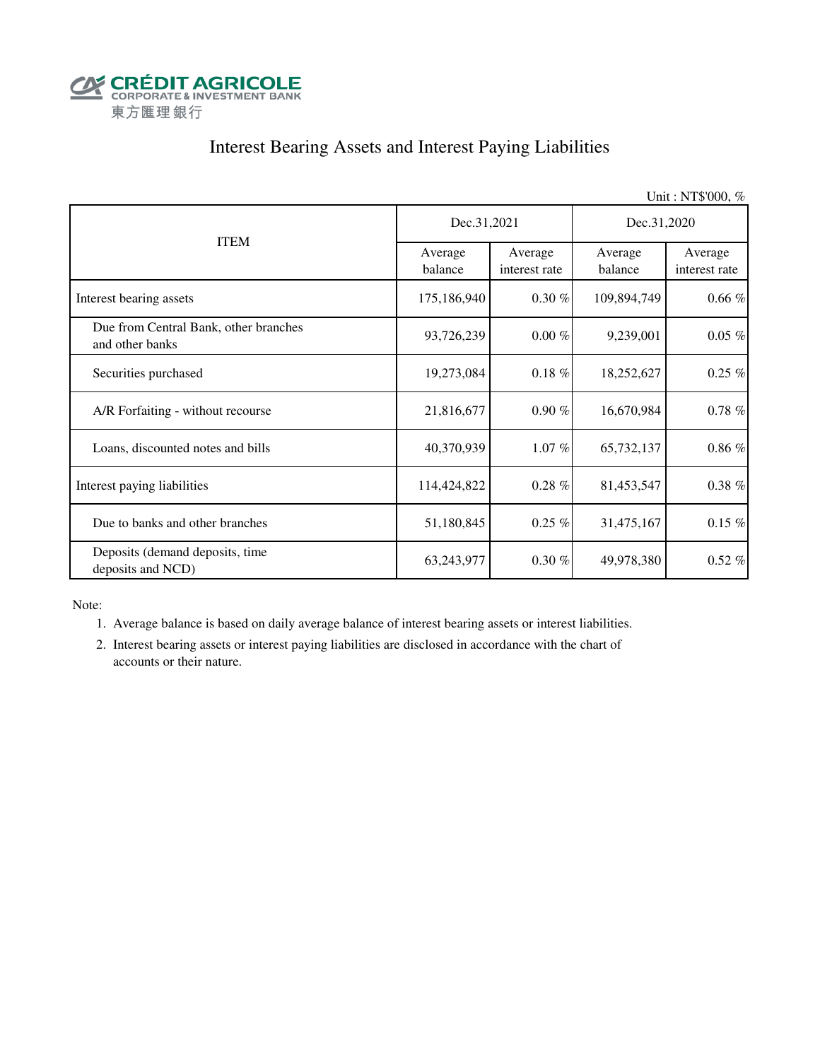

## Interest Bearing Assets and Interest Paying Liabilities

Unit : NT\$'000, % Average balance Average interest rate Average balance Average interest rate Interest bearing assets 175,186,940 0.30 % 109,894,749 0.66 % Due from Central Bank, other branches and other banks 93,726,239 0.00 % 9,239,001 0.05 % Securities purchased 19,273,084 0.18 % 18,252,627 0.25 % A/R Forfaiting - without recourse 21,816,677 0.90 % 16,670,984 0.78 % Loans, discounted notes and bills  $40,370,939$   $1.07\%$   $65,732,137$   $0.86\%$ Interest paying liabilities 114,424,822 0.28 % 81,453,547 0.38 % Due to banks and other branches  $51,180,845$   $0.25\%$   $31,475,167$   $0.15\%$  Deposits (demand deposits, time deposits and NCD) 63,243,977 0.30 % 49,978,380 0.52 % ITEM Dec.31,2021 Dec.31,2020

Note:

1. Average balance is based on daily average balance of interest bearing assets or interest liabilities.

 2. Interest bearing assets or interest paying liabilities are disclosed in accordance with the chart of accounts or their nature.